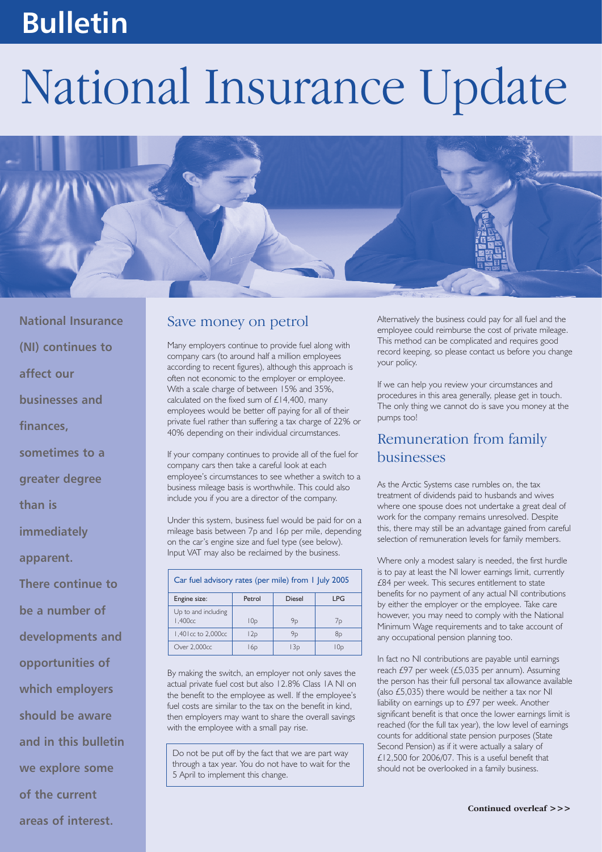# **Bulletin**

# National Insurance Update



**National Insurance (NI) continues to affect our businesses and finances, sometimes to a greater degree than is immediately**

**apparent.** 

**There continue to**

**be a number of**

**developments and**

**opportunities of**

**should be aware**

**which employers**

**and in this bulletin**

**we explore some**

**areas of interest.**

**of the current**

#### Save money on petrol

Many employers continue to provide fuel along with company cars (to around half a million employees according to recent figures), although this approach is often not economic to the employer or employee. With a scale charge of between 15% and 35%, calculated on the fixed sum of £14,400, many employees would be better off paying for all of their private fuel rather than suffering a tax charge of 22% or 40% depending on their individual circumstances.

If your company continues to provide all of the fuel for company cars then take a careful look at each employee's circumstances to see whether a switch to a business mileage basis is worthwhile. This could also include you if you are a director of the company.

Under this system, business fuel would be paid for on a mileage basis between 7p and 16p per mile, depending on the car's engine size and fuel type (see below). Input VAT may also be reclaimed by the business.

| Car fuel advisory rates (per mile) from 1 July 2005 |                 |        |            |
|-----------------------------------------------------|-----------------|--------|------------|
| Engine size:                                        | Petrol          | Diesel | <b>LPG</b> |
| Up to and including<br>1.400 <sub>cc</sub>          | 10 <sub>D</sub> | 9p     | 7p         |
| 1,401 cc to 2,000 cc                                | l 2p            | 9p     | 8р         |
| Over 2,000cc                                        | l 6p            | l 3p   | l Oo       |

By making the switch, an employer not only saves the actual private fuel cost but also 12.8% Class 1A NI on the benefit to the employee as well. If the employee's fuel costs are similar to the tax on the benefit in kind, then employers may want to share the overall savings with the employee with a small pay rise.

Do not be put off by the fact that we are part way through a tax year. You do not have to wait for the 5 April to implement this change.

Alternatively the business could pay for all fuel and the employee could reimburse the cost of private mileage. This method can be complicated and requires good record keeping, so please contact us before you change your policy.

If we can help you review your circumstances and procedures in this area generally, please get in touch. The only thing we cannot do is save you money at the pumps too!

#### Remuneration from family businesses

As the Arctic Systems case rumbles on, the tax treatment of dividends paid to husbands and wives where one spouse does not undertake a great deal of work for the company remains unresolved. Despite this, there may still be an advantage gained from careful selection of remuneration levels for family members.

Where only a modest salary is needed, the first hurdle is to pay at least the NI lower earnings limit, currently £84 per week. This secures entitlement to state benefits for no payment of any actual NI contributions by either the employer or the employee. Take care however, you may need to comply with the National Minimum Wage requirements and to take account of any occupational pension planning too.

In fact no NI contributions are payable until earnings reach £97 per week (£5,035 per annum). Assuming the person has their full personal tax allowance available (also £5,035) there would be neither a tax nor NI liability on earnings up to £97 per week. Another significant benefit is that once the lower earnings limit is reached (for the full tax year), the low level of earnings counts for additional state pension purposes (State Second Pension) as if it were actually a salary of £12,500 for 2006/07. This is a useful benefit that should not be overlooked in a family business.